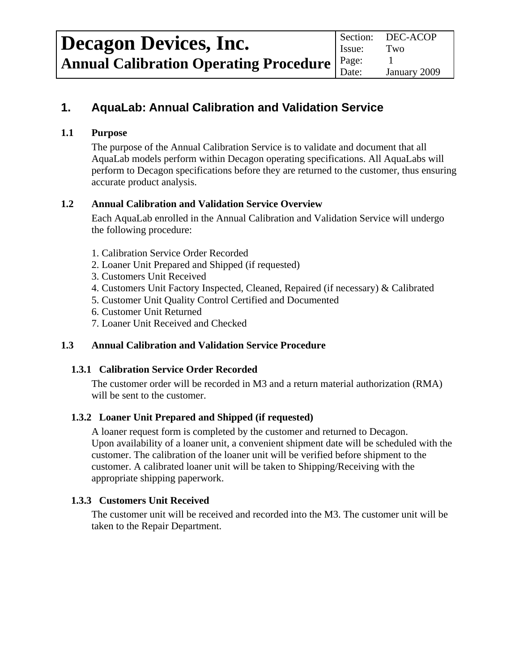# **1. AquaLab: Annual Calibration and Validation Service**

## **1.1 Purpose**

The purpose of the Annual Calibration Service is to validate and document that all AquaLab models perform within Decagon operating specifications. All AquaLabs will perform to Decagon specifications before they are returned to the customer, thus ensuring accurate product analysis.

## **1.2 Annual Calibration and Validation Service Overview**

Each AquaLab enrolled in the Annual Calibration and Validation Service will undergo the following procedure:

- 1. Calibration Service Order Recorded
- 2. Loaner Unit Prepared and Shipped (if requested)
- 3. Customers Unit Received
- 4. Customers Unit Factory Inspected, Cleaned, Repaired (if necessary) & Calibrated
- 5. Customer Unit Quality Control Certified and Documented
- 6. Customer Unit Returned
- 7. Loaner Unit Received and Checked

# **1.3 Annual Calibration and Validation Service Procedure**

#### **1.3.1 Calibration Service Order Recorded**

The customer order will be recorded in M3 and a return material authorization (RMA) will be sent to the customer.

# **1.3.2 Loaner Unit Prepared and Shipped (if requested)**

 A loaner request form is completed by the customer and returned to Decagon. Upon availability of a loaner unit, a convenient shipment date will be scheduled with the customer. The calibration of the loaner unit will be verified before shipment to the customer. A calibrated loaner unit will be taken to Shipping/Receiving with the appropriate shipping paperwork.

# **1.3.3 Customers Unit Received**

The customer unit will be received and recorded into the M3. The customer unit will be taken to the Repair Department.